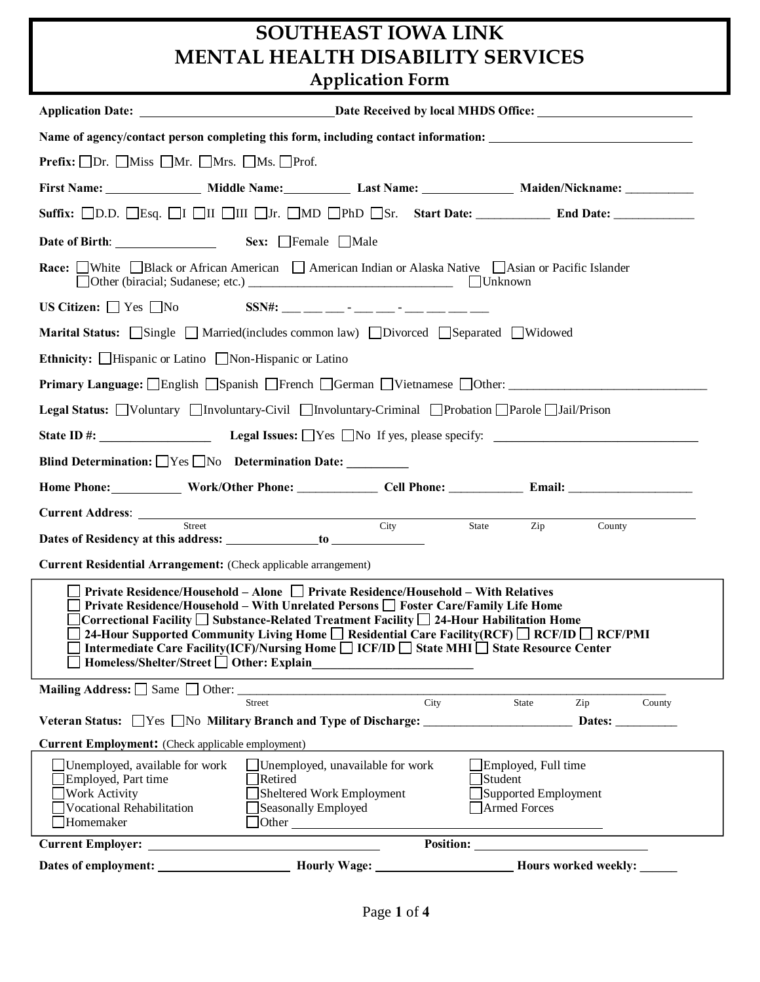# **SOUTHEAST IOWA LINK MENTAL HEALTH DISABILITY SERVICES Application Form**

| Application Date: <u>Date Received by local MHDS Office:</u>                                                                                                                                                                                                                                                                                                                                                                                                                                                                                                      |
|-------------------------------------------------------------------------------------------------------------------------------------------------------------------------------------------------------------------------------------------------------------------------------------------------------------------------------------------------------------------------------------------------------------------------------------------------------------------------------------------------------------------------------------------------------------------|
| Name of agency/contact person completing this form, including contact information: ___________________________                                                                                                                                                                                                                                                                                                                                                                                                                                                    |
| <b>Prefix:</b> $\Box$ Dr. $\Box$ Miss $\Box$ Mr. $\Box$ Mrs. $\Box$ Ms. $\Box$ Prof.                                                                                                                                                                                                                                                                                                                                                                                                                                                                              |
| First Name: _________________ Middle Name: ______________ Last Name: _________________ Maiden/Nickname: ____________                                                                                                                                                                                                                                                                                                                                                                                                                                              |
| Suffix: <b>OD.D.</b> CEsq. OI OII OIII OJr. OMD OPhD OSr. Start Date: ___________ End Date: ____________                                                                                                                                                                                                                                                                                                                                                                                                                                                          |
|                                                                                                                                                                                                                                                                                                                                                                                                                                                                                                                                                                   |
| <b>Race:</b> White Black or African American American Indian or Alaska Native Asian or Pacific Islander                                                                                                                                                                                                                                                                                                                                                                                                                                                           |
|                                                                                                                                                                                                                                                                                                                                                                                                                                                                                                                                                                   |
| Marital Status: Single Married(includes common law) Divorced Separated Widowed                                                                                                                                                                                                                                                                                                                                                                                                                                                                                    |
| Ethnicity: Hispanic or Latino Non-Hispanic or Latino                                                                                                                                                                                                                                                                                                                                                                                                                                                                                                              |
| <b>Primary Language:</b> English Spanish French GGerman DVietnamese DOther: _____________________________                                                                                                                                                                                                                                                                                                                                                                                                                                                         |
| Legal Status: Voluntary Involuntary-Civil Involuntary-Criminal Probation Parole Jail/Prison                                                                                                                                                                                                                                                                                                                                                                                                                                                                       |
|                                                                                                                                                                                                                                                                                                                                                                                                                                                                                                                                                                   |
| Blind Determination: $\Box$ Yes $\Box$ No Determination Date:                                                                                                                                                                                                                                                                                                                                                                                                                                                                                                     |
| Home Phone: Work/Other Phone: Cell Phone: Call Phone: Email: Call 2014                                                                                                                                                                                                                                                                                                                                                                                                                                                                                            |
|                                                                                                                                                                                                                                                                                                                                                                                                                                                                                                                                                                   |
| City<br>Street<br>State<br>Zip<br>County                                                                                                                                                                                                                                                                                                                                                                                                                                                                                                                          |
| Current Residential Arrangement: (Check applicable arrangement)                                                                                                                                                                                                                                                                                                                                                                                                                                                                                                   |
| $\Box$ Private Residence/Household – Alone $\Box$ Private Residence/Household – With Relatives<br>$\Box$ Private Residence/Household – With Unrelated Persons $\Box$ Foster Care/Family Life Home<br>] Correctional Facility $\Box$ Substance-Related Treatment Facility $\Box$ 24-Hour Habilitation Home<br>24-Hour Supported Community Living Home $\Box$ Residential Care Facility (RCF) $\Box$ RCF/ID $\Box$ RCF/PMI<br>Intermediate Care Facility(ICF)/Nursing Home □ ICF/ID □ State MHI □ State Resource Center<br>Homeless/Shelter/Street □ Other: Explain |
| <b>Mailing Address:</b> $\Box$ Same $\Box$ Other:<br>Street City<br>State<br>Zip<br>County                                                                                                                                                                                                                                                                                                                                                                                                                                                                        |
| Veteran Status: Ves No Military Branch and Type of Discharge: Dates: Dates:                                                                                                                                                                                                                                                                                                                                                                                                                                                                                       |
| <b>Current Employment:</b> (Check applicable employment)                                                                                                                                                                                                                                                                                                                                                                                                                                                                                                          |
| Unemployed, unavailable for work<br>$\Box$ Employed, Full time<br>Unemployed, available for work<br>Employed, Part time<br>Student<br>Retired<br><b>Work Activity</b><br>Sheltered Work Employment<br>Supported Employment<br>Vocational Rehabilitation<br>Armed Forces<br>Seasonally Employed<br>Homemaker<br>Other contract of the contract of the contract of the contract of the contract of the contract of the contract of the contract of the contract of the contract of the contract of the contract of the contract of the contract                     |
|                                                                                                                                                                                                                                                                                                                                                                                                                                                                                                                                                                   |
|                                                                                                                                                                                                                                                                                                                                                                                                                                                                                                                                                                   |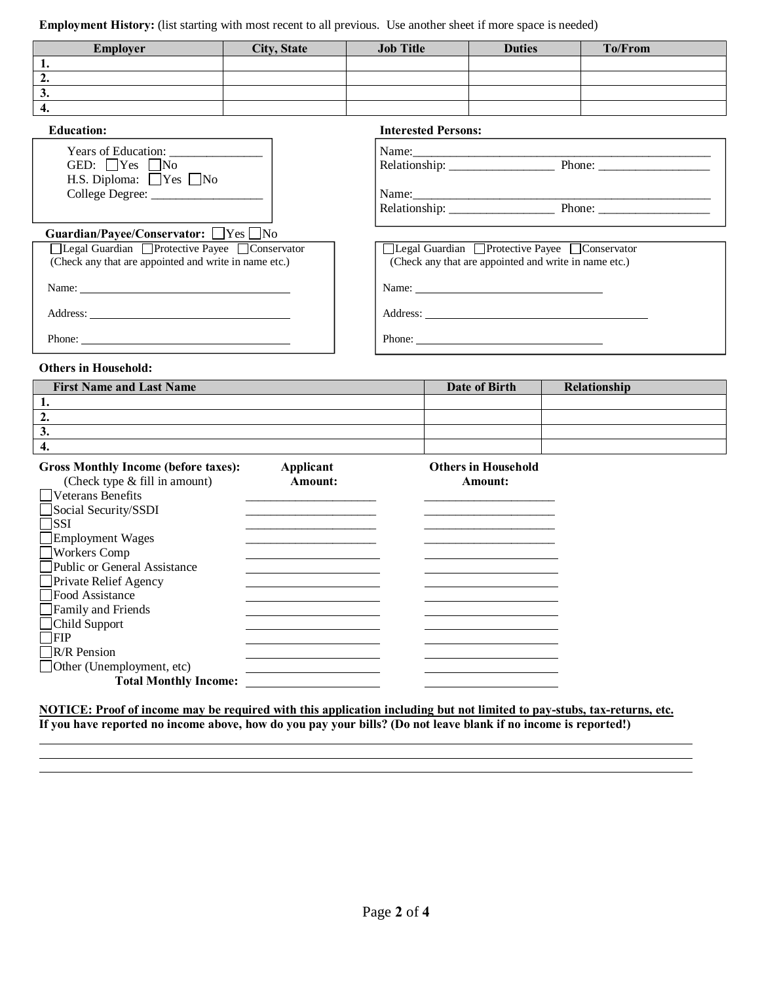**Employment History:** (list starting with most recent to all previous. Use another sheet if more space is needed)

| <b>Employer</b>   | <b>City, State</b> | <b>Job Title</b>           | <b>Duties</b> | To/From |
|-------------------|--------------------|----------------------------|---------------|---------|
|                   |                    |                            |               |         |
| ۷.                |                    |                            |               |         |
| J.                |                    |                            |               |         |
| 4.                |                    |                            |               |         |
| <b>Education:</b> |                    | <b>Interested Persons:</b> |               |         |

| Years of Education:<br>GED: $Yes$ No<br>H.S. Diploma: $\Box$ Yes $\Box$ No                              | Name:                                                                                                     |
|---------------------------------------------------------------------------------------------------------|-----------------------------------------------------------------------------------------------------------|
|                                                                                                         |                                                                                                           |
|                                                                                                         | Relationship: Phone: Phone:                                                                               |
| Guardian/Payee/Conservator: Yes No                                                                      |                                                                                                           |
| □Legal Guardian □Protective Payee □Conservator<br>(Check any that are appointed and write in name etc.) | □Legal Guardian □ Protective Payee □ Conservator<br>(Check any that are appointed and write in name etc.) |
|                                                                                                         | Name:                                                                                                     |
|                                                                                                         | Address:                                                                                                  |
|                                                                                                         |                                                                                                           |

| Years of Education:<br>GED: $\Box$ Yes $\Box$ No   | Name: $\frac{1}{R}$<br>Phone: $\frac{1}{\sqrt{1-\frac{1}{2}}\sqrt{1-\frac{1}{2}}\sqrt{1-\frac{1}{2}}\sqrt{1-\frac{1}{2}}\sqrt{1-\frac{1}{2}}\sqrt{1-\frac{1}{2}}\sqrt{1-\frac{1}{2}}\sqrt{1-\frac{1}{2}}\sqrt{1-\frac{1}{2}}\sqrt{1-\frac{1}{2}}\sqrt{1-\frac{1}{2}}\sqrt{1-\frac{1}{2}}\sqrt{1-\frac{1}{2}}\sqrt{1-\frac{1}{2}}\sqrt{1-\frac{1}{2}}\sqrt{1-\frac{1}{2}}\sqrt{1-\frac{1}{2}}\sqrt{1-\frac{1}{2}}\sqrt{1-\frac{1}{2$ |
|----------------------------------------------------|-------------------------------------------------------------------------------------------------------------------------------------------------------------------------------------------------------------------------------------------------------------------------------------------------------------------------------------------------------------------------------------------------------------------------------------|
| H.S. Diploma: $\Box$ Yes $\Box$ No                 |                                                                                                                                                                                                                                                                                                                                                                                                                                     |
|                                                    | Name:                                                                                                                                                                                                                                                                                                                                                                                                                               |
|                                                    |                                                                                                                                                                                                                                                                                                                                                                                                                                     |
| rdian/Payee/Conservator: $\Box$ Yes $\Box$ No      |                                                                                                                                                                                                                                                                                                                                                                                                                                     |
| egal Guardian □ Protective Payee □ Conservator     | □Legal Guardian □Protective Payee □Conservator                                                                                                                                                                                                                                                                                                                                                                                      |
| eck any that are appointed and write in name etc.) | (Check any that are appointed and write in name etc.)                                                                                                                                                                                                                                                                                                                                                                               |
| $\sum_{i=1}^{n}$                                   |                                                                                                                                                                                                                                                                                                                                                                                                                                     |
| ress:                                              |                                                                                                                                                                                                                                                                                                                                                                                                                                     |

### **Others in Household:**

| <b>First Name and Last Name</b> | Date of Birth | Relationship |
|---------------------------------|---------------|--------------|
|                                 |               |              |
| ٠.                              |               |              |
| ◡.                              |               |              |
|                                 |               |              |

| <b>Gross Monthly Income (before taxes):</b><br>(Check type & fill in amount) | Applicant<br>Amount: | <b>Others in Household</b><br>Amount: |
|------------------------------------------------------------------------------|----------------------|---------------------------------------|
| Veterans Benefits                                                            |                      |                                       |
| Social Security/SSDI                                                         |                      |                                       |
| ISSI                                                                         |                      |                                       |
| Employment Wages                                                             |                      |                                       |
| Workers Comp                                                                 |                      |                                       |
| Public or General Assistance                                                 |                      |                                       |
| <b>Private Relief Agency</b>                                                 |                      |                                       |
| Food Assistance                                                              |                      |                                       |
| Family and Friends                                                           |                      |                                       |
| Child Support                                                                |                      |                                       |
| IFIP                                                                         |                      |                                       |
| <b>IR/R</b> Pension                                                          |                      |                                       |
| $\Box$ Other (Unemployment, etc)                                             |                      |                                       |
| <b>Total Monthly Income:</b>                                                 |                      |                                       |

**NOTICE: Proof of income may be required with this application including but not limited to pay-stubs, tax-returns, etc. If you have reported no income above, how do you pay your bills? (Do not leave blank if no income is reported!)**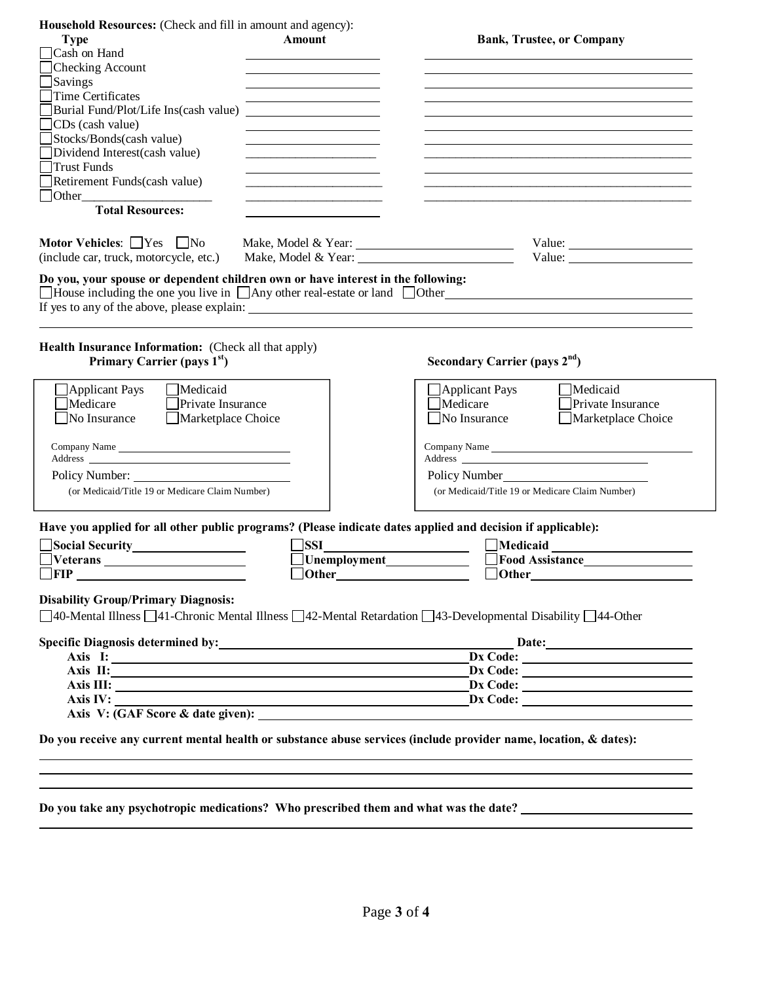| Household Resources: (Check and fill in amount and agency):                                                                                                                                                                         |                                                                            |                                                                                                                                                                                                                                                                                                                                                                                                                                                   |  |
|-------------------------------------------------------------------------------------------------------------------------------------------------------------------------------------------------------------------------------------|----------------------------------------------------------------------------|---------------------------------------------------------------------------------------------------------------------------------------------------------------------------------------------------------------------------------------------------------------------------------------------------------------------------------------------------------------------------------------------------------------------------------------------------|--|
| <b>Type</b>                                                                                                                                                                                                                         | Amount                                                                     | <b>Bank, Trustee, or Company</b>                                                                                                                                                                                                                                                                                                                                                                                                                  |  |
| $\Box$ Cash on Hand                                                                                                                                                                                                                 |                                                                            |                                                                                                                                                                                                                                                                                                                                                                                                                                                   |  |
| $\Box$ Checking Account                                                                                                                                                                                                             |                                                                            |                                                                                                                                                                                                                                                                                                                                                                                                                                                   |  |
| $\Box$ Savings                                                                                                                                                                                                                      |                                                                            |                                                                                                                                                                                                                                                                                                                                                                                                                                                   |  |
| $\Box$ Time Certificates                                                                                                                                                                                                            | the control of the control of the control of the control of the control of |                                                                                                                                                                                                                                                                                                                                                                                                                                                   |  |
| Burial Fund/Plot/Life Ins(cash value)                                                                                                                                                                                               | <u> 1986 - Andrea Britain, politik eta pro</u>                             |                                                                                                                                                                                                                                                                                                                                                                                                                                                   |  |
| $\Box$ CDs (cash value)                                                                                                                                                                                                             |                                                                            |                                                                                                                                                                                                                                                                                                                                                                                                                                                   |  |
| Stocks/Bonds(cash value)                                                                                                                                                                                                            |                                                                            |                                                                                                                                                                                                                                                                                                                                                                                                                                                   |  |
| Dividend Interest(cash value)                                                                                                                                                                                                       | <u> 1989 - Johann John Stein, mars an deus Amerikaansk kommunister (</u>   |                                                                                                                                                                                                                                                                                                                                                                                                                                                   |  |
| □Trust Funds                                                                                                                                                                                                                        |                                                                            |                                                                                                                                                                                                                                                                                                                                                                                                                                                   |  |
| Retirement Funds(cash value)                                                                                                                                                                                                        |                                                                            |                                                                                                                                                                                                                                                                                                                                                                                                                                                   |  |
| $\Box$ Other $\Box$                                                                                                                                                                                                                 |                                                                            |                                                                                                                                                                                                                                                                                                                                                                                                                                                   |  |
| <b>Total Resources:</b>                                                                                                                                                                                                             |                                                                            |                                                                                                                                                                                                                                                                                                                                                                                                                                                   |  |
|                                                                                                                                                                                                                                     |                                                                            |                                                                                                                                                                                                                                                                                                                                                                                                                                                   |  |
| Motor Vehicles: $\Box$ Yes $\Box$ No                                                                                                                                                                                                | Make, Model & Year:                                                        | Value: $\frac{1}{\sqrt{1-\frac{1}{2}} \cdot \frac{1}{2} \cdot \frac{1}{2} \cdot \frac{1}{2} \cdot \frac{1}{2} \cdot \frac{1}{2} \cdot \frac{1}{2} \cdot \frac{1}{2} \cdot \frac{1}{2} \cdot \frac{1}{2} \cdot \frac{1}{2} \cdot \frac{1}{2} \cdot \frac{1}{2} \cdot \frac{1}{2} \cdot \frac{1}{2} \cdot \frac{1}{2} \cdot \frac{1}{2} \cdot \frac{1}{2} \cdot \frac{1}{2} \cdot \frac{1}{2} \cdot \frac{1}{2} \cdot \frac{1}{2} \cdot \frac{1}{2$ |  |
| (include car, truck, motorcycle, etc.)                                                                                                                                                                                              |                                                                            | Value: $\frac{1}{\sqrt{1-\frac{1}{2}}\sqrt{1-\frac{1}{2}}\sqrt{1-\frac{1}{2}}\sqrt{1-\frac{1}{2}}\sqrt{1-\frac{1}{2}}}}$                                                                                                                                                                                                                                                                                                                          |  |
| Do you, your spouse or dependent children own or have interest in the following:                                                                                                                                                    |                                                                            |                                                                                                                                                                                                                                                                                                                                                                                                                                                   |  |
|                                                                                                                                                                                                                                     |                                                                            | $\Box$ House including the one you live in $\Box$ Any other real-estate or land $\Box$ Other                                                                                                                                                                                                                                                                                                                                                      |  |
|                                                                                                                                                                                                                                     |                                                                            |                                                                                                                                                                                                                                                                                                                                                                                                                                                   |  |
|                                                                                                                                                                                                                                     |                                                                            |                                                                                                                                                                                                                                                                                                                                                                                                                                                   |  |
| Health Insurance Information: (Check all that apply)                                                                                                                                                                                |                                                                            |                                                                                                                                                                                                                                                                                                                                                                                                                                                   |  |
| Primary Carrier (pays 1 <sup>st</sup> )                                                                                                                                                                                             |                                                                            | Secondary Carrier (pays 2 <sup>nd</sup> )                                                                                                                                                                                                                                                                                                                                                                                                         |  |
| $\Box$ Medicaid<br>$\Box$ Applicant Pays                                                                                                                                                                                            |                                                                            | <b>Applicant Pays</b><br>Medicaid                                                                                                                                                                                                                                                                                                                                                                                                                 |  |
| Medicare<br>$\Box$ Private Insurance                                                                                                                                                                                                |                                                                            | Medicare<br>Private Insurance                                                                                                                                                                                                                                                                                                                                                                                                                     |  |
| Marketplace Choice<br>$\Box$ No Insurance                                                                                                                                                                                           |                                                                            | Marketplace Choice<br>No Insurance                                                                                                                                                                                                                                                                                                                                                                                                                |  |
|                                                                                                                                                                                                                                     |                                                                            |                                                                                                                                                                                                                                                                                                                                                                                                                                                   |  |
| Company Name                                                                                                                                                                                                                        |                                                                            |                                                                                                                                                                                                                                                                                                                                                                                                                                                   |  |
|                                                                                                                                                                                                                                     |                                                                            | Address                                                                                                                                                                                                                                                                                                                                                                                                                                           |  |
| Policy Number:                                                                                                                                                                                                                      |                                                                            | Policy Number                                                                                                                                                                                                                                                                                                                                                                                                                                     |  |
| (or Medicaid/Title 19 or Medicare Claim Number)                                                                                                                                                                                     |                                                                            | (or Medicaid/Title 19 or Medicare Claim Number)                                                                                                                                                                                                                                                                                                                                                                                                   |  |
|                                                                                                                                                                                                                                     |                                                                            |                                                                                                                                                                                                                                                                                                                                                                                                                                                   |  |
| Have you applied for all other public programs? (Please indicate dates applied and decision if applicable):                                                                                                                         |                                                                            |                                                                                                                                                                                                                                                                                                                                                                                                                                                   |  |
|                                                                                                                                                                                                                                     | ISSI                                                                       |                                                                                                                                                                                                                                                                                                                                                                                                                                                   |  |
|                                                                                                                                                                                                                                     |                                                                            | Food Assistance                                                                                                                                                                                                                                                                                                                                                                                                                                   |  |
| $\Box$ FIP                                                                                                                                                                                                                          | $\Box$ Other                                                               | $\Box$ Other                                                                                                                                                                                                                                                                                                                                                                                                                                      |  |
|                                                                                                                                                                                                                                     |                                                                            |                                                                                                                                                                                                                                                                                                                                                                                                                                                   |  |
| <b>Disability Group/Primary Diagnosis:</b>                                                                                                                                                                                          |                                                                            |                                                                                                                                                                                                                                                                                                                                                                                                                                                   |  |
|                                                                                                                                                                                                                                     |                                                                            | □40-Mental Illness □41-Chronic Mental Illness □42-Mental Retardation □43-Developmental Disability □44-Other                                                                                                                                                                                                                                                                                                                                       |  |
|                                                                                                                                                                                                                                     |                                                                            |                                                                                                                                                                                                                                                                                                                                                                                                                                                   |  |
|                                                                                                                                                                                                                                     |                                                                            | Specific Diagnosis determined by: Date: Diagnosis determined by:                                                                                                                                                                                                                                                                                                                                                                                  |  |
| Axis I:                                                                                                                                                                                                                             |                                                                            | $\boxed{\text{Dx Code:}}$                                                                                                                                                                                                                                                                                                                                                                                                                         |  |
|                                                                                                                                                                                                                                     |                                                                            |                                                                                                                                                                                                                                                                                                                                                                                                                                                   |  |
| Axis III: <u>Discovered</u> and the contract of the contract of the contract of the contract of the contract of the contract of the contract of the contract of the contract of the contract of the contract of the contract of the |                                                                            | Dx Code:                                                                                                                                                                                                                                                                                                                                                                                                                                          |  |
| Axis IV: New York and the Community of the Community of the Community of the Community of the Community of the Community of the Community of the Community of the Community of the Community of the Community of the Community      |                                                                            | Axis V: (GAF Score & date given):                                                                                                                                                                                                                                                                                                                                                                                                                 |  |
|                                                                                                                                                                                                                                     |                                                                            |                                                                                                                                                                                                                                                                                                                                                                                                                                                   |  |
|                                                                                                                                                                                                                                     |                                                                            | Do you receive any current mental health or substance abuse services (include provider name, location, & dates):                                                                                                                                                                                                                                                                                                                                  |  |
|                                                                                                                                                                                                                                     |                                                                            |                                                                                                                                                                                                                                                                                                                                                                                                                                                   |  |
|                                                                                                                                                                                                                                     |                                                                            |                                                                                                                                                                                                                                                                                                                                                                                                                                                   |  |

**Do you take any psychotropic medications? Who prescribed them and what was the date?**